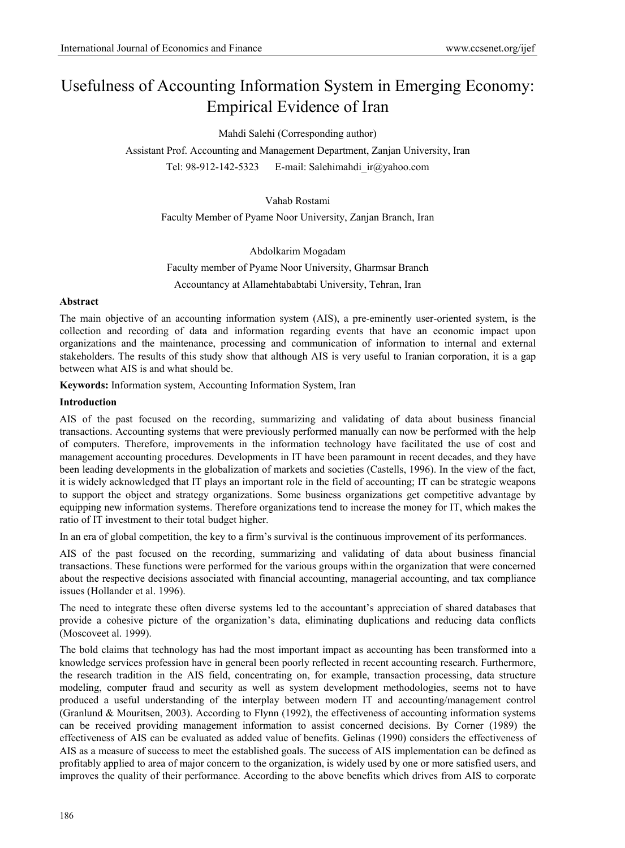# Usefulness of Accounting Information System in Emerging Economy: Empirical Evidence of Iran

Mahdi Salehi (Corresponding author)

Assistant Prof. Accounting and Management Department, Zanjan University, Iran Tel: 98-912-142-5323 E-mail: Salehimahdi\_ir@yahoo.com

# Vahab Rostami

Faculty Member of Pyame Noor University, Zanjan Branch, Iran

# Abdolkarim Mogadam Faculty member of Pyame Noor University, Gharmsar Branch Accountancy at Allamehtababtabi University, Tehran, Iran

# **Abstract**

The main objective of an accounting information system (AIS), a pre-eminently user-oriented system, is the collection and recording of data and information regarding events that have an economic impact upon organizations and the maintenance, processing and communication of information to internal and external stakeholders. The results of this study show that although AIS is very useful to Iranian corporation, it is a gap between what AIS is and what should be.

**Keywords:** Information system, Accounting Information System, Iran

# **Introduction**

AIS of the past focused on the recording, summarizing and validating of data about business financial transactions. Accounting systems that were previously performed manually can now be performed with the help of computers. Therefore, improvements in the information technology have facilitated the use of cost and management accounting procedures. Developments in IT have been paramount in recent decades, and they have been leading developments in the globalization of markets and societies (Castells, 1996). In the view of the fact, it is widely acknowledged that IT plays an important role in the field of accounting; IT can be strategic weapons to support the object and strategy organizations. Some business organizations get competitive advantage by equipping new information systems. Therefore organizations tend to increase the money for IT, which makes the ratio of IT investment to their total budget higher.

In an era of global competition, the key to a firm's survival is the continuous improvement of its performances.

AIS of the past focused on the recording, summarizing and validating of data about business financial transactions. These functions were performed for the various groups within the organization that were concerned about the respective decisions associated with financial accounting, managerial accounting, and tax compliance issues (Hollander et al. 1996).

The need to integrate these often diverse systems led to the accountant's appreciation of shared databases that provide a cohesive picture of the organization's data, eliminating duplications and reducing data conflicts (Moscoveet al. 1999).

The bold claims that technology has had the most important impact as accounting has been transformed into a knowledge services profession have in general been poorly reflected in recent accounting research. Furthermore, the research tradition in the AIS field, concentrating on, for example, transaction processing, data structure modeling, computer fraud and security as well as system development methodologies, seems not to have produced a useful understanding of the interplay between modern IT and accounting/management control (Granlund & Mouritsen, 2003). According to Flynn (1992), the effectiveness of accounting information systems can be received providing management information to assist concerned decisions. By Corner (1989) the effectiveness of AIS can be evaluated as added value of benefits. Gelinas (1990) considers the effectiveness of AIS as a measure of success to meet the established goals. The success of AIS implementation can be defined as profitably applied to area of major concern to the organization, is widely used by one or more satisfied users, and improves the quality of their performance. According to the above benefits which drives from AIS to corporate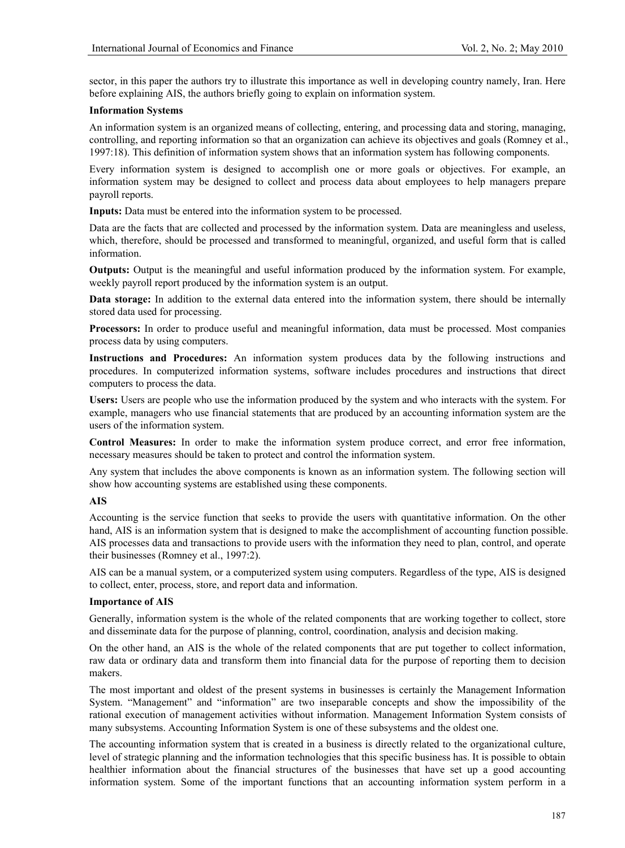sector, in this paper the authors try to illustrate this importance as well in developing country namely, Iran. Here before explaining AIS, the authors briefly going to explain on information system.

#### **Information Systems**

An information system is an organized means of collecting, entering, and processing data and storing, managing, controlling, and reporting information so that an organization can achieve its objectives and goals (Romney et al., 1997:18). This definition of information system shows that an information system has following components.

Every information system is designed to accomplish one or more goals or objectives. For example, an information system may be designed to collect and process data about employees to help managers prepare payroll reports.

**Inputs:** Data must be entered into the information system to be processed.

Data are the facts that are collected and processed by the information system. Data are meaningless and useless, which, therefore, should be processed and transformed to meaningful, organized, and useful form that is called information.

**Outputs:** Output is the meaningful and useful information produced by the information system. For example, weekly payroll report produced by the information system is an output.

**Data storage:** In addition to the external data entered into the information system, there should be internally stored data used for processing.

**Processors:** In order to produce useful and meaningful information, data must be processed. Most companies process data by using computers.

**Instructions and Procedures:** An information system produces data by the following instructions and procedures. In computerized information systems, software includes procedures and instructions that direct computers to process the data.

**Users:** Users are people who use the information produced by the system and who interacts with the system. For example, managers who use financial statements that are produced by an accounting information system are the users of the information system.

**Control Measures:** In order to make the information system produce correct, and error free information, necessary measures should be taken to protect and control the information system.

Any system that includes the above components is known as an information system. The following section will show how accounting systems are established using these components.

#### **AIS**

Accounting is the service function that seeks to provide the users with quantitative information. On the other hand, AIS is an information system that is designed to make the accomplishment of accounting function possible. AIS processes data and transactions to provide users with the information they need to plan, control, and operate their businesses (Romney et al., 1997:2).

AIS can be a manual system, or a computerized system using computers. Regardless of the type, AIS is designed to collect, enter, process, store, and report data and information.

#### **Importance of AIS**

Generally, information system is the whole of the related components that are working together to collect, store and disseminate data for the purpose of planning, control, coordination, analysis and decision making.

On the other hand, an AIS is the whole of the related components that are put together to collect information, raw data or ordinary data and transform them into financial data for the purpose of reporting them to decision makers.

The most important and oldest of the present systems in businesses is certainly the Management Information System. "Management" and "information" are two inseparable concepts and show the impossibility of the rational execution of management activities without information. Management Information System consists of many subsystems. Accounting Information System is one of these subsystems and the oldest one.

The accounting information system that is created in a business is directly related to the organizational culture, level of strategic planning and the information technologies that this specific business has. It is possible to obtain healthier information about the financial structures of the businesses that have set up a good accounting information system. Some of the important functions that an accounting information system perform in a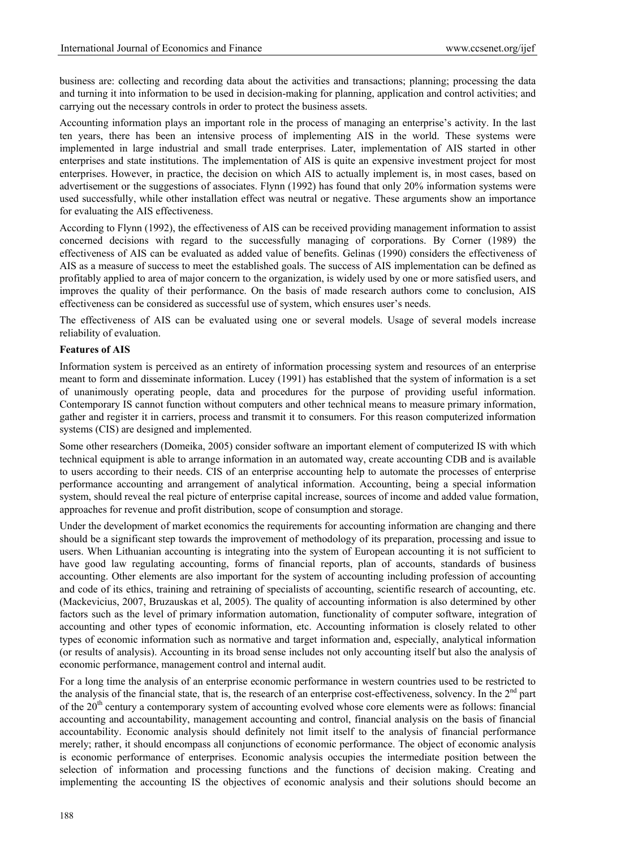business are: collecting and recording data about the activities and transactions; planning; processing the data and turning it into information to be used in decision-making for planning, application and control activities; and carrying out the necessary controls in order to protect the business assets.

Accounting information plays an important role in the process of managing an enterprise's activity. In the last ten years, there has been an intensive process of implementing AIS in the world. These systems were implemented in large industrial and small trade enterprises. Later, implementation of AIS started in other enterprises and state institutions. The implementation of AIS is quite an expensive investment project for most enterprises. However, in practice, the decision on which AIS to actually implement is, in most cases, based on advertisement or the suggestions of associates. Flynn (1992) has found that only 20% information systems were used successfully, while other installation effect was neutral or negative. These arguments show an importance for evaluating the AIS effectiveness.

According to Flynn (1992), the effectiveness of AIS can be received providing management information to assist concerned decisions with regard to the successfully managing of corporations. By Corner (1989) the effectiveness of AIS can be evaluated as added value of benefits. Gelinas (1990) considers the effectiveness of AIS as a measure of success to meet the established goals. The success of AIS implementation can be defined as profitably applied to area of major concern to the organization, is widely used by one or more satisfied users, and improves the quality of their performance. On the basis of made research authors come to conclusion, AIS effectiveness can be considered as successful use of system, which ensures user's needs.

The effectiveness of AIS can be evaluated using one or several models. Usage of several models increase reliability of evaluation.

#### **Features of AIS**

Information system is perceived as an entirety of information processing system and resources of an enterprise meant to form and disseminate information. Lucey (1991) has established that the system of information is a set of unanimously operating people, data and procedures for the purpose of providing useful information. Contemporary IS cannot function without computers and other technical means to measure primary information, gather and register it in carriers, process and transmit it to consumers. For this reason computerized information systems (CIS) are designed and implemented.

Some other researchers (Domeika, 2005) consider software an important element of computerized IS with which technical equipment is able to arrange information in an automated way, create accounting CDB and is available to users according to their needs. CIS of an enterprise accounting help to automate the processes of enterprise performance accounting and arrangement of analytical information. Accounting, being a special information system, should reveal the real picture of enterprise capital increase, sources of income and added value formation, approaches for revenue and profit distribution, scope of consumption and storage.

Under the development of market economics the requirements for accounting information are changing and there should be a significant step towards the improvement of methodology of its preparation, processing and issue to users. When Lithuanian accounting is integrating into the system of European accounting it is not sufficient to have good law regulating accounting, forms of financial reports, plan of accounts, standards of business accounting. Other elements are also important for the system of accounting including profession of accounting and code of its ethics, training and retraining of specialists of accounting, scientific research of accounting, etc. (Mackevicius, 2007, Bruzauskas et al, 2005). The quality of accounting information is also determined by other factors such as the level of primary information automation, functionality of computer software, integration of accounting and other types of economic information, etc. Accounting information is closely related to other types of economic information such as normative and target information and, especially, analytical information (or results of analysis). Accounting in its broad sense includes not only accounting itself but also the analysis of economic performance, management control and internal audit.

For a long time the analysis of an enterprise economic performance in western countries used to be restricted to the analysis of the financial state, that is, the research of an enterprise cost-effectiveness, solvency. In the  $2<sup>nd</sup>$  part of the 20<sup>th</sup> century a contemporary system of accounting evolved whose core elements were as follows: financial accounting and accountability, management accounting and control, financial analysis on the basis of financial accountability. Economic analysis should definitely not limit itself to the analysis of financial performance merely; rather, it should encompass all conjunctions of economic performance. The object of economic analysis is economic performance of enterprises. Economic analysis occupies the intermediate position between the selection of information and processing functions and the functions of decision making. Creating and implementing the accounting IS the objectives of economic analysis and their solutions should become an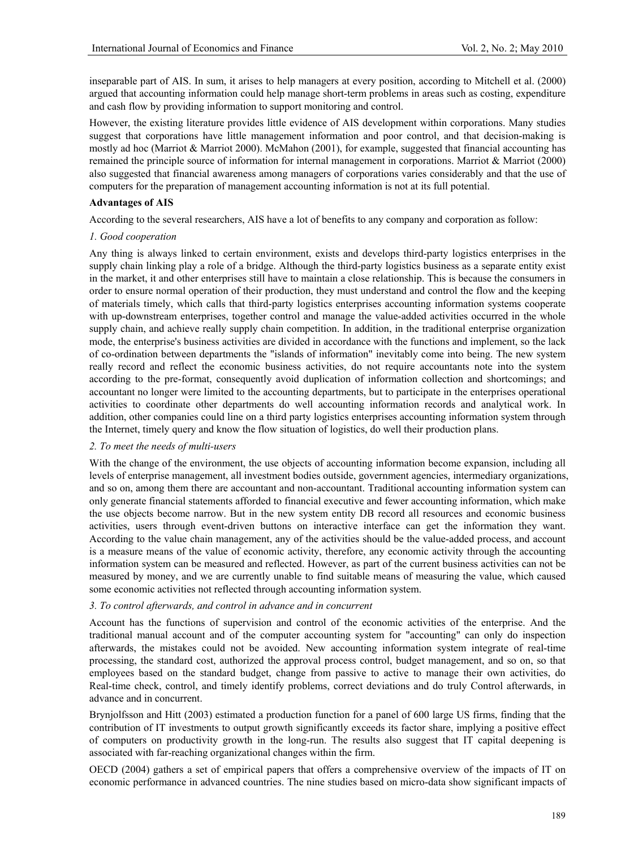inseparable part of AIS. In sum, it arises to help managers at every position, according to Mitchell et al. (2000) argued that accounting information could help manage short-term problems in areas such as costing, expenditure and cash flow by providing information to support monitoring and control.

However, the existing literature provides little evidence of AIS development within corporations. Many studies suggest that corporations have little management information and poor control, and that decision-making is mostly ad hoc (Marriot & Marriot 2000). McMahon (2001), for example, suggested that financial accounting has remained the principle source of information for internal management in corporations. Marriot & Marriot (2000) also suggested that financial awareness among managers of corporations varies considerably and that the use of computers for the preparation of management accounting information is not at its full potential.

#### **Advantages of AIS**

According to the several researchers, AIS have a lot of benefits to any company and corporation as follow:

#### *1. Good cooperation*

Any thing is always linked to certain environment, exists and develops third-party logistics enterprises in the supply chain linking play a role of a bridge. Although the third-party logistics business as a separate entity exist in the market, it and other enterprises still have to maintain a close relationship. This is because the consumers in order to ensure normal operation of their production, they must understand and control the flow and the keeping of materials timely, which calls that third-party logistics enterprises accounting information systems cooperate with up-downstream enterprises, together control and manage the value-added activities occurred in the whole supply chain, and achieve really supply chain competition. In addition, in the traditional enterprise organization mode, the enterprise's business activities are divided in accordance with the functions and implement, so the lack of co-ordination between departments the "islands of information" inevitably come into being. The new system really record and reflect the economic business activities, do not require accountants note into the system according to the pre-format, consequently avoid duplication of information collection and shortcomings; and accountant no longer were limited to the accounting departments, but to participate in the enterprises operational activities to coordinate other departments do well accounting information records and analytical work. In addition, other companies could line on a third party logistics enterprises accounting information system through the Internet, timely query and know the flow situation of logistics, do well their production plans.

### *2. To meet the needs of multi-users*

With the change of the environment, the use objects of accounting information become expansion, including all levels of enterprise management, all investment bodies outside, government agencies, intermediary organizations, and so on, among them there are accountant and non-accountant. Traditional accounting information system can only generate financial statements afforded to financial executive and fewer accounting information, which make the use objects become narrow. But in the new system entity DB record all resources and economic business activities, users through event-driven buttons on interactive interface can get the information they want. According to the value chain management, any of the activities should be the value-added process, and account is a measure means of the value of economic activity, therefore, any economic activity through the accounting information system can be measured and reflected. However, as part of the current business activities can not be measured by money, and we are currently unable to find suitable means of measuring the value, which caused some economic activities not reflected through accounting information system.

#### *3. To control afterwards, and control in advance and in concurrent*

Account has the functions of supervision and control of the economic activities of the enterprise. And the traditional manual account and of the computer accounting system for "accounting" can only do inspection afterwards, the mistakes could not be avoided. New accounting information system integrate of real-time processing, the standard cost, authorized the approval process control, budget management, and so on, so that employees based on the standard budget, change from passive to active to manage their own activities, do Real-time check, control, and timely identify problems, correct deviations and do truly Control afterwards, in advance and in concurrent.

Brynjolfsson and Hitt (2003) estimated a production function for a panel of 600 large US firms, finding that the contribution of IT investments to output growth significantly exceeds its factor share, implying a positive effect of computers on productivity growth in the long-run. The results also suggest that IT capital deepening is associated with far-reaching organizational changes within the firm.

OECD (2004) gathers a set of empirical papers that offers a comprehensive overview of the impacts of IT on economic performance in advanced countries. The nine studies based on micro-data show significant impacts of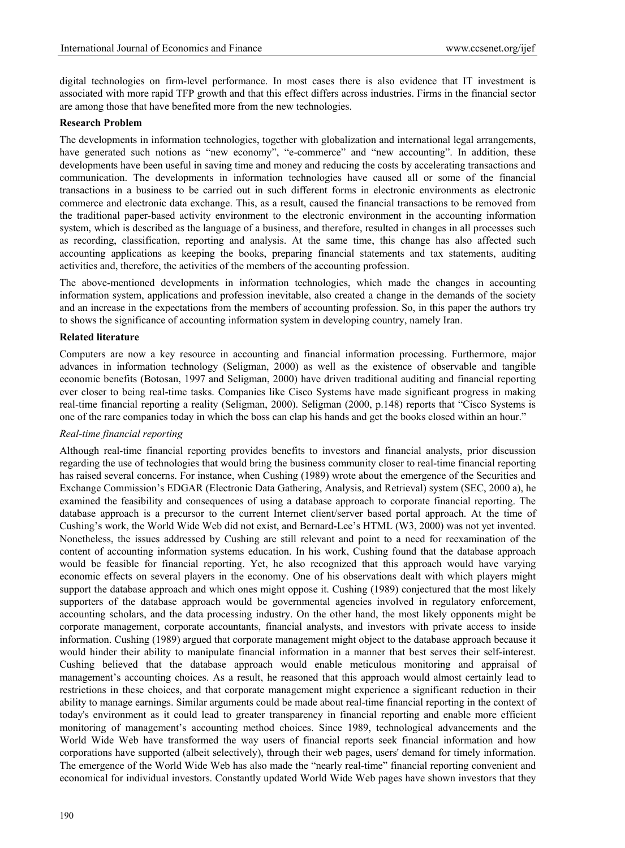digital technologies on firm-level performance. In most cases there is also evidence that IT investment is associated with more rapid TFP growth and that this effect differs across industries. Firms in the financial sector are among those that have benefited more from the new technologies.

#### **Research Problem**

The developments in information technologies, together with globalization and international legal arrangements, have generated such notions as "new economy", "e-commerce" and "new accounting". In addition, these developments have been useful in saving time and money and reducing the costs by accelerating transactions and communication. The developments in information technologies have caused all or some of the financial transactions in a business to be carried out in such different forms in electronic environments as electronic commerce and electronic data exchange. This, as a result, caused the financial transactions to be removed from the traditional paper-based activity environment to the electronic environment in the accounting information system, which is described as the language of a business, and therefore, resulted in changes in all processes such as recording, classification, reporting and analysis. At the same time, this change has also affected such accounting applications as keeping the books, preparing financial statements and tax statements, auditing activities and, therefore, the activities of the members of the accounting profession.

The above-mentioned developments in information technologies, which made the changes in accounting information system, applications and profession inevitable, also created a change in the demands of the society and an increase in the expectations from the members of accounting profession. So, in this paper the authors try to shows the significance of accounting information system in developing country, namely Iran.

#### **Related literature**

Computers are now a key resource in accounting and financial information processing. Furthermore, major advances in information technology (Seligman, 2000) as well as the existence of observable and tangible economic benefits (Botosan, 1997 and Seligman, 2000) have driven traditional auditing and financial reporting ever closer to being real-time tasks. Companies like Cisco Systems have made significant progress in making real-time financial reporting a reality (Seligman, 2000). Seligman (2000, p.148) reports that "Cisco Systems is one of the rare companies today in which the boss can clap his hands and get the books closed within an hour."

#### *Real-time financial reporting*

Although real-time financial reporting provides benefits to investors and financial analysts, prior discussion regarding the use of technologies that would bring the business community closer to real-time financial reporting has raised several concerns. For instance, when Cushing (1989) wrote about the emergence of the Securities and Exchange Commission's EDGAR (Electronic Data Gathering, Analysis, and Retrieval) system (SEC, 2000 a), he examined the feasibility and consequences of using a database approach to corporate financial reporting. The database approach is a precursor to the current Internet client/server based portal approach. At the time of Cushing's work, the World Wide Web did not exist, and Bernard-Lee's HTML (W3, 2000) was not yet invented. Nonetheless, the issues addressed by Cushing are still relevant and point to a need for reexamination of the content of accounting information systems education. In his work, Cushing found that the database approach would be feasible for financial reporting. Yet, he also recognized that this approach would have varying economic effects on several players in the economy. One of his observations dealt with which players might support the database approach and which ones might oppose it. Cushing (1989) conjectured that the most likely supporters of the database approach would be governmental agencies involved in regulatory enforcement, accounting scholars, and the data processing industry. On the other hand, the most likely opponents might be corporate management, corporate accountants, financial analysts, and investors with private access to inside information. Cushing (1989) argued that corporate management might object to the database approach because it would hinder their ability to manipulate financial information in a manner that best serves their self-interest. Cushing believed that the database approach would enable meticulous monitoring and appraisal of management's accounting choices. As a result, he reasoned that this approach would almost certainly lead to restrictions in these choices, and that corporate management might experience a significant reduction in their ability to manage earnings. Similar arguments could be made about real-time financial reporting in the context of today's environment as it could lead to greater transparency in financial reporting and enable more efficient monitoring of management's accounting method choices. Since 1989, technological advancements and the World Wide Web have transformed the way users of financial reports seek financial information and how corporations have supported (albeit selectively), through their web pages, users' demand for timely information. The emergence of the World Wide Web has also made the "nearly real-time" financial reporting convenient and economical for individual investors. Constantly updated World Wide Web pages have shown investors that they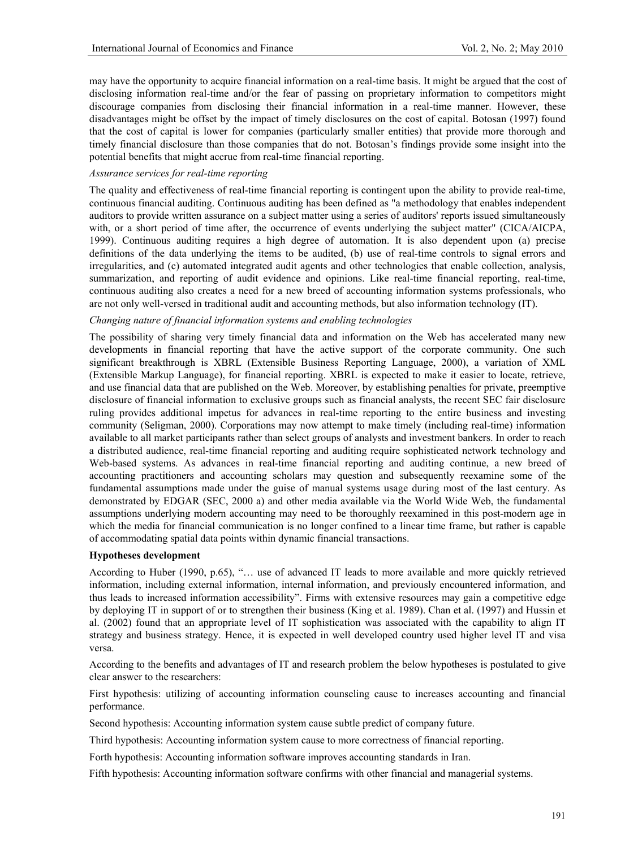may have the opportunity to acquire financial information on a real-time basis. It might be argued that the cost of disclosing information real-time and/or the fear of passing on proprietary information to competitors might discourage companies from disclosing their financial information in a real-time manner. However, these disadvantages might be offset by the impact of timely disclosures on the cost of capital. Botosan (1997) found that the cost of capital is lower for companies (particularly smaller entities) that provide more thorough and timely financial disclosure than those companies that do not. Botosan's findings provide some insight into the potential benefits that might accrue from real-time financial reporting.

### *Assurance services for real-time reporting*

The quality and effectiveness of real-time financial reporting is contingent upon the ability to provide real-time, continuous financial auditing. Continuous auditing has been defined as "a methodology that enables independent auditors to provide written assurance on a subject matter using a series of auditors' reports issued simultaneously with, or a short period of time after, the occurrence of events underlying the subject matter" (CICA/AICPA, 1999). Continuous auditing requires a high degree of automation. It is also dependent upon (a) precise definitions of the data underlying the items to be audited, (b) use of real-time controls to signal errors and irregularities, and (c) automated integrated audit agents and other technologies that enable collection, analysis, summarization, and reporting of audit evidence and opinions. Like real-time financial reporting, real-time, continuous auditing also creates a need for a new breed of accounting information systems professionals, who are not only well-versed in traditional audit and accounting methods, but also information technology (IT).

#### *Changing nature of financial information systems and enabling technologies*

The possibility of sharing very timely financial data and information on the Web has accelerated many new developments in financial reporting that have the active support of the corporate community. One such significant breakthrough is XBRL (Extensible Business Reporting Language, 2000), a variation of XML (Extensible Markup Language), for financial reporting. XBRL is expected to make it easier to locate, retrieve, and use financial data that are published on the Web. Moreover, by establishing penalties for private, preemptive disclosure of financial information to exclusive groups such as financial analysts, the recent SEC fair disclosure ruling provides additional impetus for advances in real-time reporting to the entire business and investing community (Seligman, 2000). Corporations may now attempt to make timely (including real-time) information available to all market participants rather than select groups of analysts and investment bankers. In order to reach a distributed audience, real-time financial reporting and auditing require sophisticated network technology and Web-based systems. As advances in real-time financial reporting and auditing continue, a new breed of accounting practitioners and accounting scholars may question and subsequently reexamine some of the fundamental assumptions made under the guise of manual systems usage during most of the last century. As demonstrated by EDGAR (SEC, 2000 a) and other media available via the World Wide Web, the fundamental assumptions underlying modern accounting may need to be thoroughly reexamined in this post-modern age in which the media for financial communication is no longer confined to a linear time frame, but rather is capable of accommodating spatial data points within dynamic financial transactions.

#### **Hypotheses development**

According to Huber (1990, p.65), "… use of advanced IT leads to more available and more quickly retrieved information, including external information, internal information, and previously encountered information, and thus leads to increased information accessibility". Firms with extensive resources may gain a competitive edge by deploying IT in support of or to strengthen their business (King et al. 1989). Chan et al. (1997) and Hussin et al. (2002) found that an appropriate level of IT sophistication was associated with the capability to align IT strategy and business strategy. Hence, it is expected in well developed country used higher level IT and visa versa.

According to the benefits and advantages of IT and research problem the below hypotheses is postulated to give clear answer to the researchers:

First hypothesis: utilizing of accounting information counseling cause to increases accounting and financial performance.

Second hypothesis: Accounting information system cause subtle predict of company future.

Third hypothesis: Accounting information system cause to more correctness of financial reporting.

Forth hypothesis: Accounting information software improves accounting standards in Iran.

Fifth hypothesis: Accounting information software confirms with other financial and managerial systems.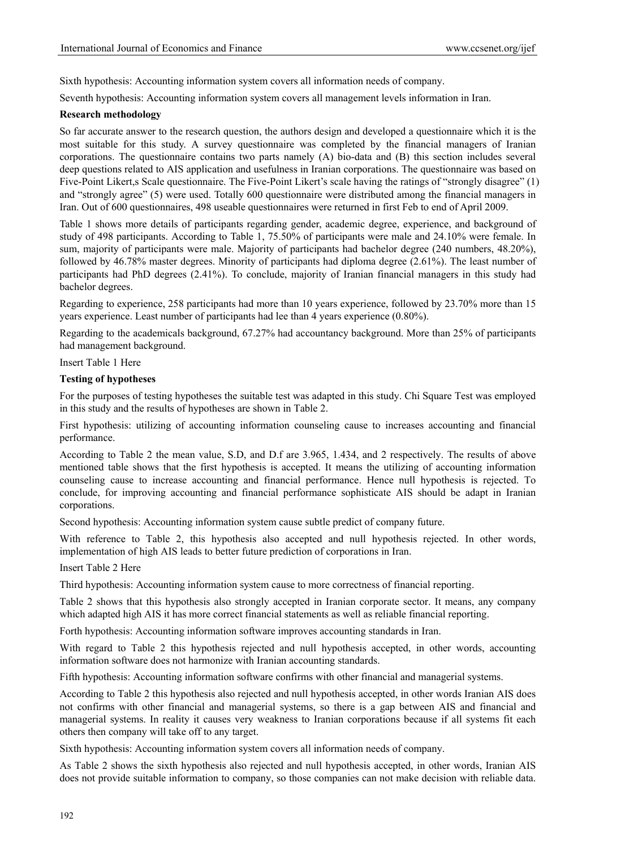Sixth hypothesis: Accounting information system covers all information needs of company.

Seventh hypothesis: Accounting information system covers all management levels information in Iran.

#### **Research methodology**

So far accurate answer to the research question, the authors design and developed a questionnaire which it is the most suitable for this study. A survey questionnaire was completed by the financial managers of Iranian corporations. The questionnaire contains two parts namely (A) bio-data and (B) this section includes several deep questions related to AIS application and usefulness in Iranian corporations. The questionnaire was based on Five-Point Likert,s Scale questionnaire. The Five-Point Likert's scale having the ratings of "strongly disagree" (1) and "strongly agree" (5) were used. Totally 600 questionnaire were distributed among the financial managers in Iran. Out of 600 questionnaires, 498 useable questionnaires were returned in first Feb to end of April 2009.

Table 1 shows more details of participants regarding gender, academic degree, experience, and background of study of 498 participants. According to Table 1, 75.50% of participants were male and 24.10% were female. In sum, majority of participants were male. Majority of participants had bachelor degree (240 numbers, 48.20%), followed by 46.78% master degrees. Minority of participants had diploma degree (2.61%). The least number of participants had PhD degrees (2.41%). To conclude, majority of Iranian financial managers in this study had bachelor degrees.

Regarding to experience, 258 participants had more than 10 years experience, followed by 23.70% more than 15 years experience. Least number of participants had lee than 4 years experience (0.80%).

Regarding to the academicals background, 67.27% had accountancy background. More than 25% of participants had management background.

Insert Table 1 Here

#### **Testing of hypotheses**

For the purposes of testing hypotheses the suitable test was adapted in this study. Chi Square Test was employed in this study and the results of hypotheses are shown in Table 2.

First hypothesis: utilizing of accounting information counseling cause to increases accounting and financial performance.

According to Table 2 the mean value, S.D, and D.f are 3.965, 1.434, and 2 respectively. The results of above mentioned table shows that the first hypothesis is accepted. It means the utilizing of accounting information counseling cause to increase accounting and financial performance. Hence null hypothesis is rejected. To conclude, for improving accounting and financial performance sophisticate AIS should be adapt in Iranian corporations.

Second hypothesis: Accounting information system cause subtle predict of company future.

With reference to Table 2, this hypothesis also accepted and null hypothesis rejected. In other words, implementation of high AIS leads to better future prediction of corporations in Iran.

### Insert Table 2 Here

Third hypothesis: Accounting information system cause to more correctness of financial reporting.

Table 2 shows that this hypothesis also strongly accepted in Iranian corporate sector. It means, any company which adapted high AIS it has more correct financial statements as well as reliable financial reporting.

Forth hypothesis: Accounting information software improves accounting standards in Iran.

With regard to Table 2 this hypothesis rejected and null hypothesis accepted, in other words, accounting information software does not harmonize with Iranian accounting standards.

Fifth hypothesis: Accounting information software confirms with other financial and managerial systems.

According to Table 2 this hypothesis also rejected and null hypothesis accepted, in other words Iranian AIS does not confirms with other financial and managerial systems, so there is a gap between AIS and financial and managerial systems. In reality it causes very weakness to Iranian corporations because if all systems fit each others then company will take off to any target.

Sixth hypothesis: Accounting information system covers all information needs of company.

As Table 2 shows the sixth hypothesis also rejected and null hypothesis accepted, in other words, Iranian AIS does not provide suitable information to company, so those companies can not make decision with reliable data.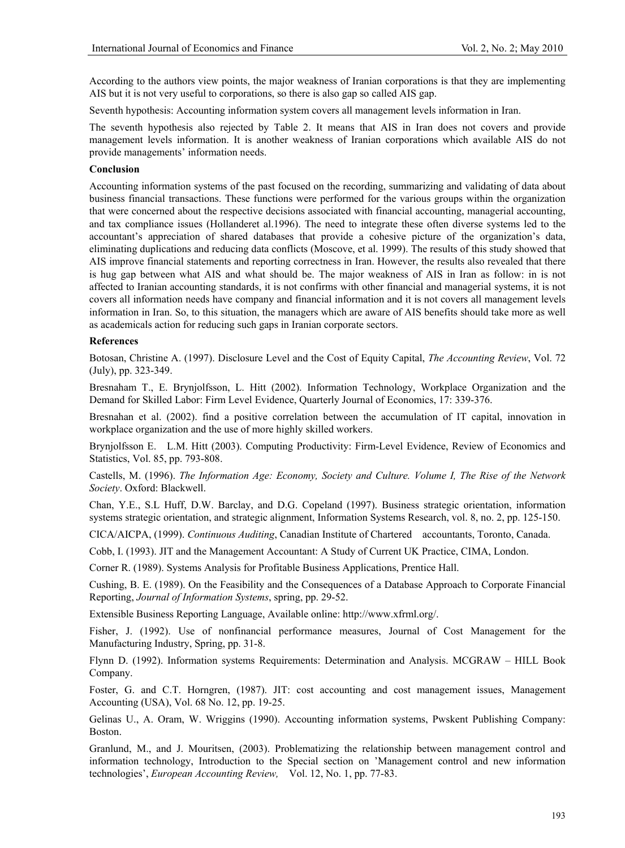According to the authors view points, the major weakness of Iranian corporations is that they are implementing AIS but it is not very useful to corporations, so there is also gap so called AIS gap.

Seventh hypothesis: Accounting information system covers all management levels information in Iran.

The seventh hypothesis also rejected by Table 2. It means that AIS in Iran does not covers and provide management levels information. It is another weakness of Iranian corporations which available AIS do not provide managements' information needs.

#### **Conclusion**

Accounting information systems of the past focused on the recording, summarizing and validating of data about business financial transactions. These functions were performed for the various groups within the organization that were concerned about the respective decisions associated with financial accounting, managerial accounting, and tax compliance issues (Hollanderet al.1996). The need to integrate these often diverse systems led to the accountant's appreciation of shared databases that provide a cohesive picture of the organization's data, eliminating duplications and reducing data conflicts (Moscove, et al. 1999). The results of this study showed that AIS improve financial statements and reporting correctness in Iran. However, the results also revealed that there is hug gap between what AIS and what should be. The major weakness of AIS in Iran as follow: in is not affected to Iranian accounting standards, it is not confirms with other financial and managerial systems, it is not covers all information needs have company and financial information and it is not covers all management levels information in Iran. So, to this situation, the managers which are aware of AIS benefits should take more as well as academicals action for reducing such gaps in Iranian corporate sectors.

#### **References**

Botosan, Christine A. (1997). Disclosure Level and the Cost of Equity Capital, *The Accounting Review*, Vol. 72 (July), pp. 323-349.

Bresnaham T., E. Brynjolfsson, L. Hitt (2002). Information Technology, Workplace Organization and the Demand for Skilled Labor: Firm Level Evidence, Quarterly Journal of Economics, 17: 339-376.

Bresnahan et al. (2002). find a positive correlation between the accumulation of IT capital, innovation in workplace organization and the use of more highly skilled workers.

Brynjolfsson E. L.M. Hitt (2003). Computing Productivity: Firm-Level Evidence, Review of Economics and Statistics, Vol. 85, pp. 793-808.

Castells, M. (1996). *The Information Age: Economy, Society and Culture. Volume I, The Rise of the Network Society*. Oxford: Blackwell.

Chan, Y.E., S.L Huff, D.W. Barclay, and D.G. Copeland (1997). Business strategic orientation, information systems strategic orientation, and strategic alignment, Information Systems Research, vol. 8, no. 2, pp. 125-150.

CICA/AICPA, (1999). *Continuous Auditing*, Canadian Institute of Chartered accountants, Toronto, Canada.

Cobb, I. (1993). JIT and the Management Accountant: A Study of Current UK Practice, CIMA, London.

Corner R. (1989). Systems Analysis for Profitable Business Applications, Prentice Hall.

Cushing, B. E. (1989). On the Feasibility and the Consequences of a Database Approach to Corporate Financial Reporting, *Journal of Information Systems*, spring, pp. 29-52.

Extensible Business Reporting Language, Available online: http://www.xfrml.org/.

Fisher, J. (1992). Use of nonfinancial performance measures, Journal of Cost Management for the Manufacturing Industry, Spring, pp. 31-8.

Flynn D. (1992). Information systems Requirements: Determination and Analysis. MCGRAW – HILL Book Company.

Foster, G. and C.T. Horngren, (1987). JIT: cost accounting and cost management issues, Management Accounting (USA), Vol. 68 No. 12, pp. 19-25.

Gelinas U., A. Oram, W. Wriggins (1990). Accounting information systems, Pwskent Publishing Company: Boston.

Granlund, M., and J. Mouritsen, (2003). Problematizing the relationship between management control and information technology, Introduction to the Special section on 'Management control and new information technologies', *European Accounting Review,* Vol. 12, No. 1, pp. 77-83.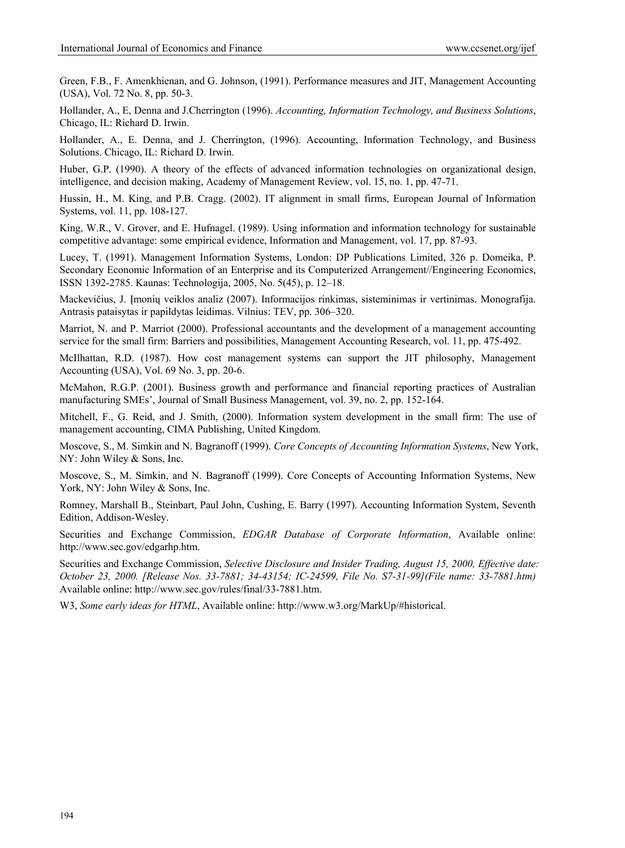Green, F.B., F. Amenkhienan, and G. Johnson, (1991). Performance measures and JIT, Management Accounting (USA), Vol. 72 No. 8, pp. 50-3.

Hollander, A., E, Denna and J.Cherrington (1996). *Accounting, Information Technology, and Business Solutions*, Chicago, IL: Richard D. Irwin.

Hollander, A., E. Denna, and J. Cherrington, (1996). Accounting, Information Technology, and Business Solutions. Chicago, IL: Richard D. Irwin.

Huber, G.P. (1990). A theory of the effects of advanced information technologies on organizational design, intelligence, and decision making, Academy of Management Review, vol. 15, no. 1, pp. 47-71.

Hussin, H., M. King, and P.B. Cragg. (2002). IT alignment in small firms, European Journal of Information Systems, vol. 11, pp. 108-127.

King, W.R., V. Grover, and E. Hufnagel. (1989). Using information and information technology for sustainable competitive advantage: some empirical evidence, Information and Management, vol. 17, pp. 87-93.

Lucey, T. (1991). Management Information Systems, London: DP Publications Limited, 326 p. Domeika, P. Secondary Economic Information of an Enterprise and its Computerized Arrangement//Engineering Economics, ISSN 1392-2785. Kaunas: Technologija, 2005, No. 5(45), p. 12–18.

Mackevičius, J. Įmonių veiklos analiz (2007). Informacijos rinkimas, sisteminimas ir vertinimas. Monografija. Antrasis pataisytas ir papildytas leidimas. Vilnius: TEV, pp. 306–320.

Marriot, N. and P. Marriot (2000). Professional accountants and the development of a management accounting service for the small firm: Barriers and possibilities, Management Accounting Research, vol. 11, pp. 475-492.

McIlhattan, R.D. (1987). How cost management systems can support the JIT philosophy, Management Accounting (USA), Vol. 69 No. 3, pp. 20-6.

McMahon, R.G.P. (2001). Business growth and performance and financial reporting practices of Australian manufacturing SMEs', Journal of Small Business Management, vol. 39, no. 2, pp. 152-164.

Mitchell, F., G. Reid, and J. Smith, (2000). Information system development in the small firm: The use of management accounting, CIMA Publishing, United Kingdom.

Moscove, S., M. Simkin and N. Bagranoff (1999). *Core Concepts of Accounting Information Systems*, New York, NY: John Wiley & Sons, Inc.

Moscove, S., M. Simkin, and N. Bagranoff (1999). Core Concepts of Accounting Information Systems, New York, NY: John Wiley & Sons, Inc.

Romney, Marshall B., Steinbart, Paul John, Cushing, E. Barry (1997). Accounting Information System, Seventh Edition, Addison-Wesley.

Securities and Exchange Commission, *EDGAR Database of Corporate Information*, Available online: http://www.sec.gov/edgarhp.htm.

Securities and Exchange Commission, *Selective Disclosure and Insider Trading, August 15, 2000, Effective date: October 23, 2000. [Release Nos. 33-7881; 34-43154; IC-24599, File No. S7-31-99](File name: 33-7881.htm)*  Available online: http://www.sec.gov/rules/final/33-7881.htm.

W3, *Some early ideas for HTML*, Available online: http://www.w3.org/MarkUp/#historical.